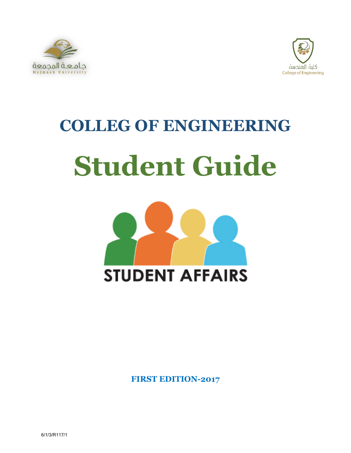



# **COLLEG OF ENGINEERING Student Guide**



**FIRST EDITION-2017**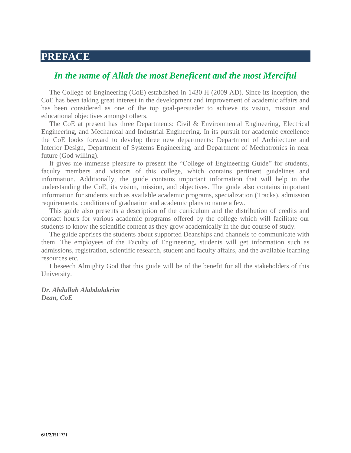# **PREFACE**

# *In the name of Allah the most Beneficent and the most Merciful*

The College of Engineering (CoE) established in 1430 H (2009 AD). Since its inception, the CoE has been taking great interest in the development and improvement of academic affairs and has been considered as one of the top goal-persuader to achieve its vision, mission and educational objectives amongst others.

The CoE at present has three Departments: Civil & Environmental Engineering, Electrical Engineering, and Mechanical and Industrial Engineering. In its pursuit for academic excellence the CoE looks forward to develop three new departments: Department of Architecture and Interior Design, Department of Systems Engineering, and Department of Mechatronics in near future (God willing).

It gives me immense pleasure to present the "College of Engineering Guide" for students, faculty members and visitors of this college, which contains pertinent guidelines and information. Additionally, the guide contains important information that will help in the understanding the CoE, its vision, mission, and objectives. The guide also contains important information for students such as available academic programs, specialization (Tracks), admission requirements, conditions of graduation and academic plans to name a few.

This guide also presents a description of the curriculum and the distribution of credits and contact hours for various academic programs offered by the college which will facilitate our students to know the scientific content as they grow academically in the due course of study.

The guide apprises the students about supported Deanships and channels to communicate with them. The employees of the Faculty of Engineering, students will get information such as admissions, registration, scientific research, student and faculty affairs, and the available learning resources etc.

I beseech Almighty God that this guide will be of the benefit for all the stakeholders of this University.

#### *Dr. Abdullah Alabdulakrim Dean, CoE*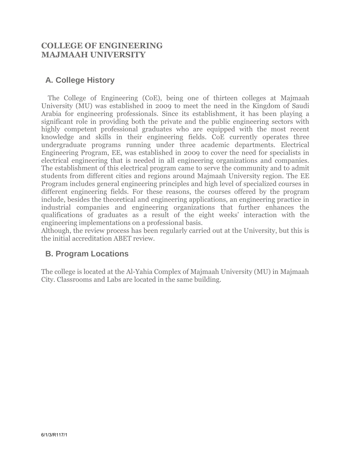# **COLLEGE OF ENGINEERING MAJMAAH UNIVERSITY**

# **A. College History**

 The College of Engineering (CoE), being one of thirteen colleges at Majmaah University (MU) was established in 2009 to meet the need in the Kingdom of Saudi Arabia for engineering professionals. Since its establishment, it has been playing a significant role in providing both the private and the public engineering sectors with highly competent professional graduates who are equipped with the most recent knowledge and skills in their engineering fields. CoE currently operates three undergraduate programs running under three academic departments. Electrical Engineering Program, EE, was established in 2009 to cover the need for specialists in electrical engineering that is needed in all engineering organizations and companies. The establishment of this electrical program came to serve the community and to admit students from different cities and regions around Majmaah University region. The EE Program includes general engineering principles and high level of specialized courses in different engineering fields. For these reasons, the courses offered by the program include, besides the theoretical and engineering applications, an engineering practice in industrial companies and engineering organizations that further enhances the qualifications of graduates as a result of the eight weeks' interaction with the engineering implementations on a professional basis.

Although, the review process has been regularly carried out at the University, but this is the initial accreditation ABET review.

# **B. Program Locations**

The college is located at the Al-Yahia Complex of Majmaah University (MU) in Majmaah City. Classrooms and Labs are located in the same building.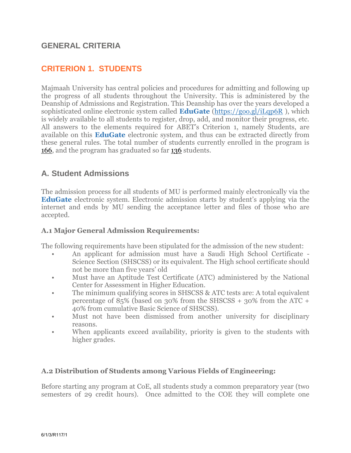# **GENERAL CRITERIA**

# **CRITERION 1. STUDENTS**

Majmaah University has central policies and procedures for admitting and following up the progress of all students throughout the University. This is administered by the Deanship of Admissions and Registration. This Deanship has over the years developed a sophisticated online electronic system called **EduGate** [\(https://goo.gl/iLqp6R](https://goo.gl/iLqp6R) ), which is widely available to all students to register, drop, add, and monitor their progress, etc. All answers to the elements required for ABET's Criterion 1, namely Students, are available on this **EduGate** electronic system, and thus can be extracted directly from these general rules. The total number of students currently enrolled in the program is 166, and the program has graduated so far 136 students.

# **A. Student Admissions**

The admission process for all students of MU is performed mainly electronically via the **EduGate** electronic system. Electronic admission starts by student's applying via the internet and ends by MU sending the acceptance letter and files of those who are accepted.

#### **A.1 Major General Admission Requirements:**

The following requirements have been stipulated for the admission of the new student:

- An applicant for admission must have a Saudi High School Certificate Science Section (SHSCSS) or its equivalent. The High school certificate should not be more than five years' old
- Must have an Aptitude Test Certificate (ATC) administered by the National Center for Assessment in Higher Education.
- The minimum qualifying scores in SHSCSS & ATC tests are: A total equivalent percentage of 85% (based on 30% from the SHSCSS + 30% from the ATC + 40% from cumulative Basic Science of SHSCSS).
- Must not have been dismissed from another university for disciplinary reasons.
- When applicants exceed availability, priority is given to the students with higher grades.

#### **A.2 Distribution of Students among Various Fields of Engineering:**

Before starting any program at CoE, all students study a common preparatory year (two semesters of 29 credit hours). Once admitted to the COE they will complete one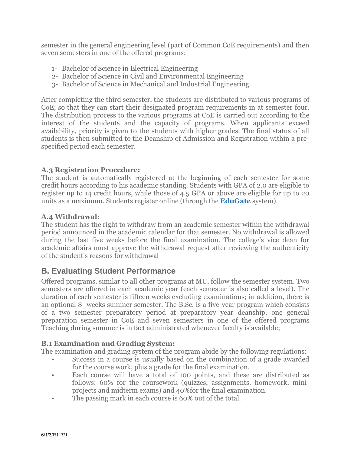semester in the general engineering level (part of Common CoE requirements) and then seven semesters in one of the offered programs:

- 1- Bachelor of Science in Electrical Engineering
- 2- Bachelor of Science in Civil and Environmental Engineering
- 3- Bachelor of Science in Mechanical and Industrial Engineering

After completing the third semester, the students are distributed to various programs of CoE; so that they can start their designated program requirements in at semester four. The distribution process to the various programs at CoE is carried out according to the interest of the students and the capacity of programs. When applicants exceed availability, priority is given to the students with higher grades. The final status of all students is then submitted to the Deanship of Admission and Registration within a prespecified period each semester.

## **A.3 Registration Procedure:**

The student is automatically registered at the beginning of each semester for some credit hours according to his academic standing. Students with GPA of 2.0 are eligible to register up to 14 credit hours, while those of 4.5 GPA or above are eligible for up to 20 units as a maximum. Students register online (through the **EduGate** system).

## **A.4 Withdrawal:**

The student has the right to withdraw from an academic semester within the withdrawal period announced in the academic calendar for that semester. No withdrawal is allowed during the last five weeks before the final examination. The college's vice dean for academic affairs must approve the withdrawal request after reviewing the authenticity of the student's reasons for withdrawal

# **B. Evaluating Student Performance**

Offered programs, similar to all other programs at MU, follow the semester system. Two semesters are offered in each academic year (each semester is also called a level). The duration of each semester is fifteen weeks excluding examinations; in addition, there is an optional 8- weeks summer semester. The B.Sc. is a five-year program which consists of a two semester preparatory period at preparatory year deanship, one general preparation semester in CoE and seven semesters in one of the offered programs Teaching during summer is in fact administrated whenever faculty is available;

# **B.1 Examination and Grading System:**

The examination and grading system of the program abide by the following regulations:

- Success in a course is usually based on the combination of a grade awarded for the course work, plus a grade for the final examination.
- Each course will have a total of 100 points, and these are distributed as follows: 60% for the coursework (quizzes, assignments, homework, miniprojects and midterm exams) and 40%for the final examination.
- The passing mark in each course is 60% out of the total.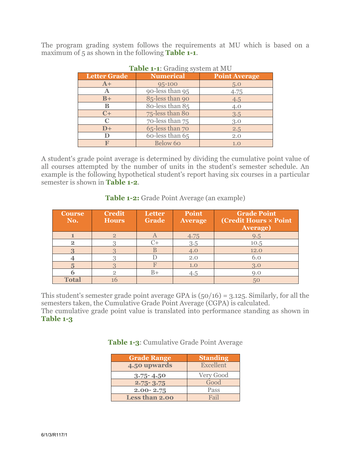The program grading system follows the requirements at MU which is based on a maximum of 5 as shown in the following **Table 1-1**.

| <b>Letter Grade</b> | <b>Numerical</b> | <b>Point Average</b> |  |
|---------------------|------------------|----------------------|--|
| $A+$                | 95-100           | 5.0                  |  |
| Α                   | 90-less than 95  | 4.75                 |  |
| $B+$                | 85-less than 90  | 4.5                  |  |
| В                   | 80-less than 85  | 4.0                  |  |
| $C+$                | 75-less than 80  | 3.5                  |  |
| $\mathbf C$         | 70-less than 75  | 3.0                  |  |
| $D+$                | 65-less than 70  | 2.5                  |  |
|                     | 60-less than 65  | 2.0                  |  |
|                     | Below 60         | 1.0                  |  |

| <b>Table 1-1:</b> Grading system at MU |  |  |  |
|----------------------------------------|--|--|--|
|----------------------------------------|--|--|--|

A student's grade point average is determined by dividing the cumulative point value of all courses attempted by the number of units in the student's semester schedule. An example is the following hypothetical student's report having six courses in a particular semester is shown in **Table 1-2**.

| <b>Course</b><br>No. | <b>Credit</b><br><b>Hours</b> | Letter<br>Grade           | Point<br><b>Average</b> | <b>Grade Point</b><br>(Credit Hours × Point)<br><b>Average</b> ) |
|----------------------|-------------------------------|---------------------------|-------------------------|------------------------------------------------------------------|
|                      | $\overline{2}$                | $\boldsymbol{\mathsf{A}}$ | 4.75                    | 9.5                                                              |
| $\overline{2}$       |                               | ( '⊥                      | 3.5                     | 10.5                                                             |
|                      |                               |                           | 4.0                     | 12.0                                                             |
|                      |                               |                           | 2.0                     | 6.0                                                              |
|                      |                               |                           | 1.0                     | 3.0                                                              |
|                      | റ                             | B+                        | 4.5                     | 9.0                                                              |
| <b>Total</b>         |                               |                           |                         | 50                                                               |

**Table 1-2:** Grade Point Average (an example)

This student's semester grade point average GPA is  $(50/16) = 3.125$ . Similarly, for all the semesters taken, the Cumulative Grade Point Average (CGPA) is calculated.

The cumulative grade point value is translated into performance standing as shown in **Table 1-3**

| <b>Grade Range</b> | <b>Standing</b> |
|--------------------|-----------------|
| 4.50 upwards       | Excellent       |
| $3.75 - 4.50$      | Very Good       |
| $2.75 - 3.75$      | Good            |
| $2.00 - 2.75$      | Pass            |
| Less than 2.00     | Fail            |

**Table 1-3**: Cumulative Grade Point Average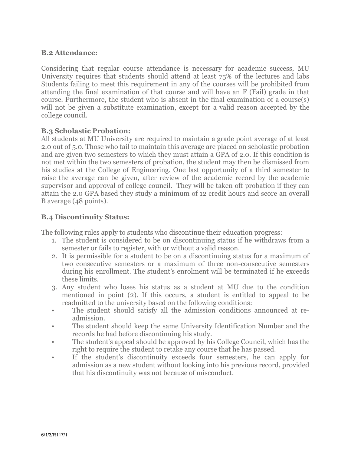## **B.2 Attendance:**

Considering that regular course attendance is necessary for academic success, MU University requires that students should attend at least 75% of the lectures and labs Students failing to meet this requirement in any of the courses will be prohibited from attending the final examination of that course and will have an F (Fail) grade in that course. Furthermore, the student who is absent in the final examination of a course(s) will not be given a substitute examination, except for a valid reason accepted by the college council.

## **B.3 Scholastic Probation:**

All students at MU University are required to maintain a grade point average of at least 2.0 out of 5.0. Those who fail to maintain this average are placed on scholastic probation and are given two semesters to which they must attain a GPA of 2.0. If this condition is not met within the two semesters of probation, the student may then be dismissed from his studies at the College of Engineering. One last opportunity of a third semester to raise the average can be given, after review of the academic record by the academic supervisor and approval of college council. They will be taken off probation if they can attain the 2.0 GPA based they study a minimum of 12 credit hours and score an overall B average (48 points).

## **B.4 Discontinuity Status:**

The following rules apply to students who discontinue their education progress:

- 1. The student is considered to be on discontinuing status if he withdraws from a semester or fails to register, with or without a valid reason.
- 2. It is permissible for a student to be on a discontinuing status for a maximum of two consecutive semesters or a maximum of three non-consecutive semesters during his enrollment. The student's enrolment will be terminated if he exceeds these limits.
- 3. Any student who loses his status as a student at MU due to the condition mentioned in point (2). If this occurs, a student is entitled to appeal to be readmitted to the university based on the following conditions:
- The student should satisfy all the admission conditions announced at readmission.
- The student should keep the same University Identification Number and the records he had before discontinuing his study.
- The student's appeal should be approved by his College Council, which has the right to require the student to retake any course that he has passed.
- If the student's discontinuity exceeds four semesters, he can apply for admission as a new student without looking into his previous record, provided that his discontinuity was not because of misconduct.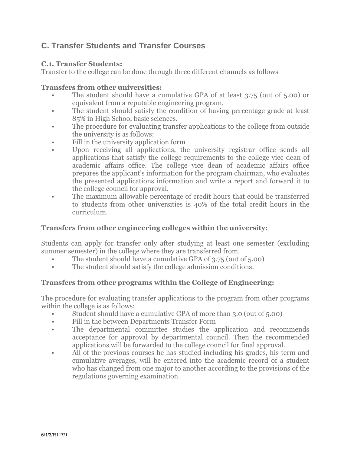# **C. Transfer Students and Transfer Courses**

#### **C.1. Transfer Students:**

Transfer to the college can be done through three different channels as follows

#### **Transfers from other universities:**

- The student should have a cumulative GPA of at least 3.75 (out of 5.00) or equivalent from a reputable engineering program.
- The student should satisfy the condition of having percentage grade at least 85% in High School basic sciences.
- The procedure for evaluating transfer applications to the college from outside the university is as follows:
- Fill in the university application form
- Upon receiving all applications, the university registrar office sends all applications that satisfy the college requirements to the college vice dean of academic affairs office. The college vice dean of academic affairs office prepares the applicant's information for the program chairman, who evaluates the presented applications information and write a report and forward it to the college council for approval.
- The maximum allowable percentage of credit hours that could be transferred to students from other universities is 40% of the total credit hours in the curriculum.

#### **Transfers from other engineering colleges within the university:**

Students can apply for transfer only after studying at least one semester (excluding summer semester) in the college where they are transferred from.

- The student should have a cumulative GPA of 3.75 (out of 5.00)
- The student should satisfy the college admission conditions.

## **Transfers from other programs within the College of Engineering:**

The procedure for evaluating transfer applications to the program from other programs within the college is as follows:

- Student should have a cumulative GPA of more than 3.0 (out of 5.00)
- Fill in the between Departments Transfer Form
- The departmental committee studies the application and recommends acceptance for approval by departmental council. Then the recommended applications will be forwarded to the college council for final approval.
- All of the previous courses he has studied including his grades, his term and cumulative averages, will be entered into the academic record of a student who has changed from one major to another according to the provisions of the regulations governing examination.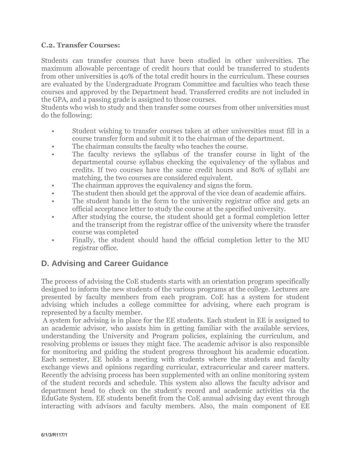## **C.2. Transfer Courses:**

Students can transfer courses that have been studied in other universities. The maximum allowable percentage of credit hours that could be transferred to students from other universities is 40% of the total credit hours in the curriculum. These courses are evaluated by the Undergraduate Program Committee and faculties who teach these courses and approved by the Department head. Transferred credits are not included in the GPA, and a passing grade is assigned to those courses.

Students who wish to study and then transfer some courses from other universities must do the following:

- Student wishing to transfer courses taken at other universities must fill in a course transfer form and submit it to the chairman of the department.
- The chairman consults the faculty who teaches the course.
- The faculty reviews the syllabus of the transfer course in light of the departmental course syllabus checking the equivalency of the syllabus and credits. If two courses have the same credit hours and 80% of syllabi are matching, the two courses are considered equivalent.
- The chairman approves the equivalency and signs the form.
- The student then should get the approval of the vice dean of academic affairs.
- The student hands in the form to the university registrar office and gets an official acceptance letter to study the course at the specified university.
- After studying the course, the student should get a formal completion letter and the transcript from the registrar office of the university where the transfer course was completed
- Finally, the student should hand the official completion letter to the MU registrar office.

# **D. Advising and Career Guidance**

The process of advising the CoE students starts with an orientation program specifically designed to inform the new students of the various programs at the college. Lectures are presented by faculty members from each program. CoE has a system for student advising which includes a college committee for advising, where each program is represented by a faculty member.

 A system for advising is in place for the EE students. Each student in EE is assigned to an academic advisor, who assists him in getting familiar with the available services, understanding the University and Program policies, explaining the curriculum, and resolving problems or issues they might face. The academic advisor is also responsible for monitoring and guiding the student progress throughout his academic education. Each semester, EE holds a meeting with students where the students and faculty exchange views and opinions regarding curricular, extracurricular and career matters. Recently the advising process has been supplemented with an online monitoring system of the student records and schedule. This system also allows the faculty advisor and department head to check on the student's record and academic activities via the EduGate System. EE students benefit from the CoE annual advising day event through interacting with advisors and faculty members. Also, the main component of EE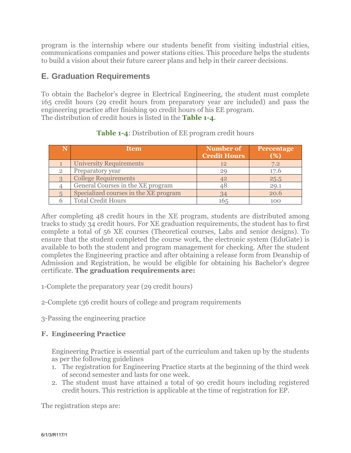program is the internship where our students benefit from visiting industrial cities, communications companies and power stations cities. This procedure helps the students to build a vision about their future career plans and help in their career decisions.

# **E. Graduation Requirements**

To obtain the Bachelor's degree in Electrical Engineering, the student must complete 165 credit hours (29 credit hours from preparatory year are included) and pass the engineering practice after finishing 90 credit hours of his EE program. The distribution of credit hours is listed in the **Table 1-4**.

| <b>Item</b>                           | Number of<br><b>Credit Hours</b> | Percentage<br>(%) |
|---------------------------------------|----------------------------------|-------------------|
| <b>University Requirements</b>        | 12                               | 7.2               |
| Preparatory year                      |                                  | 17.6              |
| <b>College Requirements</b>           | 42                               | 25.5              |
| General Courses in the XE program     | 18                               | 29.1              |
| Specialized courses in the XE program |                                  | 20.6              |
| <b>Total Credit Hours</b>             | 165                              | 100               |

# **Table 1-4**: Distribution of EE program credit hours

After completing 48 credit hours in the XE program, students are distributed among tracks to study 34 credit hours. For XE graduation requirements, the student has to first complete a total of 56 XE courses (Theoretical courses, Labs and senior designs). To ensure that the student completed the course work, the electronic system (EduGate) is available to both the student and program management for checking. After the student completes the Engineering practice and after obtaining a release form from Deanship of Admission and Registration, he would be eligible for obtaining his Bachelor's degree certificate. **The graduation requirements are:** 

- 1-Complete the preparatory year (29 credit hours)
- 2-Complete 136 credit hours of college and program requirements
- 3-Passing the engineering practice

# **F. Engineering Practice**

Engineering Practice is essential part of the curriculum and taken up by the students as per the following guidelines

- 1. The registration for Engineering Practice starts at the beginning of the third week of second semester and lasts for one week.
- 2. The student must have attained a total of 90 credit hours including registered credit hours. This restriction is applicable at the time of registration for EP.

The registration steps are: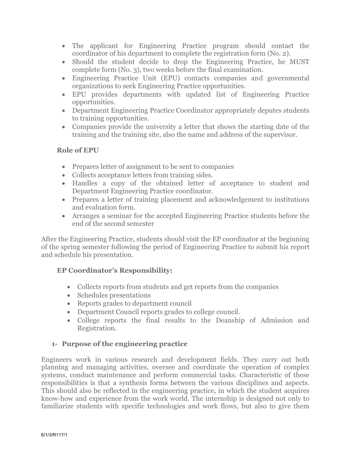- The applicant for Engineering Practice program should contact the coordinator of his department to complete the registration form (No. 2).
- Should the student decide to drop the Engineering Practice, he MUST complete form (No. 3), two weeks before the final examination.
- Engineering Practice Unit (EPU) contacts companies and governmental organizations to seek Engineering Practice opportunities.
- EPU provides departments with updated list of Engineering Practice opportunities.
- Department Engineering Practice Coordinator appropriately deputes students to training opportunities.
- Companies provide the university a letter that shows the starting date of the training and the training site, also the name and address of the supervisor.

## **Role of EPU**

- Prepares letter of assignment to be sent to companies
- Collects acceptance letters from training sides.
- Handles a copy of the obtained letter of acceptance to student and Department Engineering Practice coordinator.
- Prepares a letter of training placement and acknowledgement to institutions and evaluation form.
- Arranges a seminar for the accepted Engineering Practice students before the end of the second semester

After the Engineering Practice, students should visit the EP coordinator at the beginning of the spring semester following the period of Engineering Practice to submit his report and schedule his presentation.

# **EP Coordinator's Responsibility:**

- Collects reports from students and get reports from the companies
- Schedules presentations
- Reports grades to department council
- Department Council reports grades to college council.
- College reports the final results to the Deanship of Admission and Registration.

# **1- Purpose of the engineering practice**

Engineers work in various research and development fields. They carry out both planning and managing activities, oversee and coordinate the operation of complex systems, conduct maintenance and perform commercial tasks. Characteristic of these responsibilities is that a synthesis forms between the various disciplines and aspects. This should also be reflected in the engineering practice, in which the student acquires know-how and experience from the work world. The internship is designed not only to familiarize students with specific technologies and work flows, but also to give them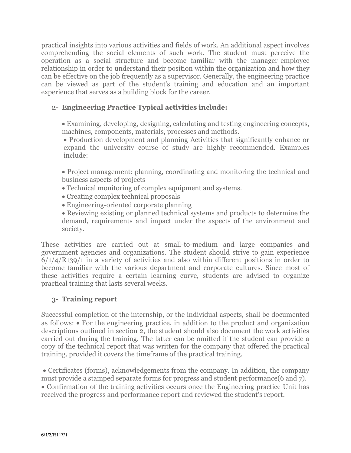practical insights into various activities and fields of work. An additional aspect involves comprehending the social elements of such work. The student must perceive the operation as a social structure and become familiar with the manager-employee relationship in order to understand their position within the organization and how they can be effective on the job frequently as a supervisor. Generally, the engineering practice can be viewed as part of the student's training and education and an important experience that serves as a building block for the career.

# **2- Engineering Practice Typical activities include:**

 Examining, developing, designing, calculating and testing engineering concepts, machines, components, materials, processes and methods.

 Production development and planning Activities that significantly enhance or expand the university course of study are highly recommended. Examples include:

 Project management: planning, coordinating and monitoring the technical and business aspects of projects

- Technical monitoring of complex equipment and systems.
- Creating complex technical proposals
- Engineering-oriented corporate planning

 Reviewing existing or planned technical systems and products to determine the demand, requirements and impact under the aspects of the environment and society.

These activities are carried out at small-to-medium and large companies and government agencies and organizations. The student should strive to gain experience  $6/1/4/R139/1$  in a variety of activities and also within different positions in order to become familiar with the various department and corporate cultures. Since most of these activities require a certain learning curve, students are advised to organize practical training that lasts several weeks.

# **3- Training report**

Successful completion of the internship, or the individual aspects, shall be documented as follows: For the engineering practice, in addition to the product and organization descriptions outlined in section 2, the student should also document the work activities carried out during the training. The latter can be omitted if the student can provide a copy of the technical report that was written for the company that offered the practical training, provided it covers the timeframe of the practical training.

 Certificates (forms), acknowledgements from the company. In addition, the company must provide a stamped separate forms for progress and student performance(6 and 7). Confirmation of the training activities occurs once the Engineering practice Unit has received the progress and performance report and reviewed the student's report.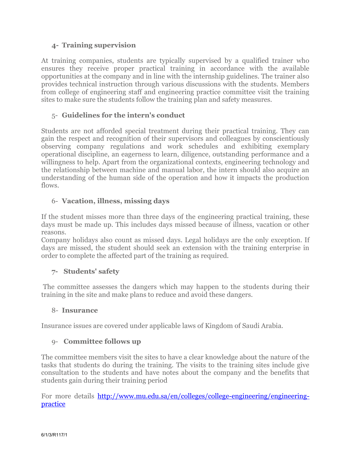# **4- Training supervision**

At training companies, students are typically supervised by a qualified trainer who ensures they receive proper practical training in accordance with the available opportunities at the company and in line with the internship guidelines. The trainer also provides technical instruction through various discussions with the students. Members from college of engineering staff and engineering practice committee visit the training sites to make sure the students follow the training plan and safety measures.

# 5- **Guidelines for the intern's conduct**

Students are not afforded special treatment during their practical training. They can gain the respect and recognition of their supervisors and colleagues by conscientiously observing company regulations and work schedules and exhibiting exemplary operational discipline, an eagerness to learn, diligence, outstanding performance and a willingness to help. Apart from the organizational contexts, engineering technology and the relationship between machine and manual labor, the intern should also acquire an understanding of the human side of the operation and how it impacts the production flows.

## 6- **Vacation, illness, missing days**

If the student misses more than three days of the engineering practical training, these days must be made up. This includes days missed because of illness, vacation or other reasons.

Company holidays also count as missed days. Legal holidays are the only exception. If days are missed, the student should seek an extension with the training enterprise in order to complete the affected part of the training as required.

## **7- Students' safety**

The committee assesses the dangers which may happen to the students during their training in the site and make plans to reduce and avoid these dangers.

## 8- **Insurance**

Insurance issues are covered under applicable laws of Kingdom of Saudi Arabia.

## 9- **Committee follows up**

The committee members visit the sites to have a clear knowledge about the nature of the tasks that students do during the training. The visits to the training sites include give consultation to the students and have notes about the company and the benefits that students gain during their training period

For more details [http://www.mu.edu.sa/en/colleges/college-engineering/engineering](http://www.mu.edu.sa/en/colleges/college-engineering/engineering-practice)[practice](http://www.mu.edu.sa/en/colleges/college-engineering/engineering-practice)